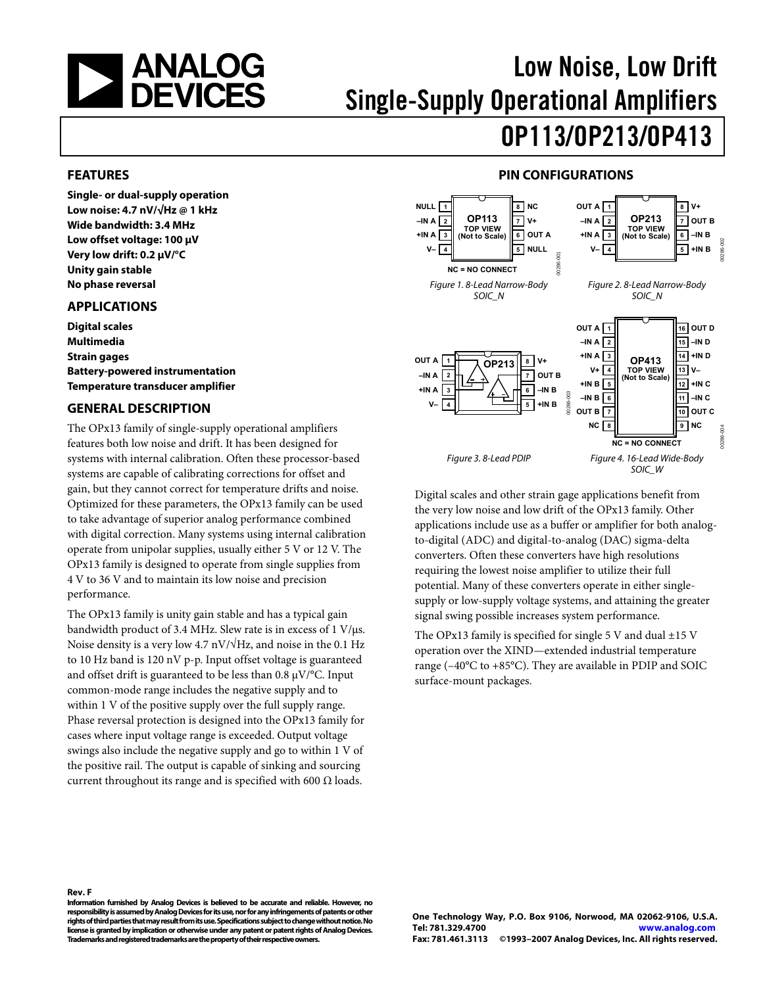<span id="page-0-0"></span>

# Low Noise, Low Drift Single-Supply Operational Amplifiers OP113/OP213/OP413

#### **FEATURES**

**Single- or dual-supply operation Low noise: 4.7 nV/√Hz @ 1 kHz Wide bandwidth: 3.4 MHz Low offset voltage: 100 μV Very low drift: 0.2 μV/°C Unity gain stable No phase reversal** 

#### **APPLICATIONS**

**Digital scales Multimedia Strain gages Battery-powered instrumentation Temperature transducer amplifier** 

#### **GENERAL DESCRIPTION**

The OPx13 family of single-supply operational amplifiers features both low noise and drift. It has been designed for systems with internal calibration. Often these processor-based systems are capable of calibrating corrections for offset and gain, but they cannot correct for temperature drifts and noise. Optimized for these parameters, the OPx13 family can be used to take advantage of superior analog performance combined with digital correction. Many systems using internal calibration operate from unipolar supplies, usually either 5 V or 12 V. The OPx13 family is designed to operate from single supplies from 4 V to 36 V and to maintain its low noise and precision performance.

The OPx13 family is unity gain stable and has a typical gain bandwidth product of 3.4 MHz. Slew rate is in excess of 1 V/μs. Noise density is a very low 4.7 nV/√Hz, and noise in the 0.1 Hz to 10 Hz band is 120 nV p-p. Input offset voltage is guaranteed and offset drift is guaranteed to be less than 0.8 μV/°C. Input common-mode range includes the negative supply and to within 1 V of the positive supply over the full supply range. Phase reversal protection is designed into the OPx13 family for cases where input voltage range is exceeded. Output voltage swings also include the negative supply and go to within 1 V of the positive rail. The output is capable of sinking and sourcing current throughout its range and is specified with 600  $\Omega$  loads.

### **PIN CONFIGURATIONS**



Digital scales and other strain gage applications benefit from the very low noise and low drift of the OPx13 family. Other applications include use as a buffer or amplifier for both analogto-digital (ADC) and digital-to-analog (DAC) sigma-delta converters. Often these converters have high resolutions requiring the lowest noise amplifier to utilize their full potential. Many of these converters operate in either singlesupply or low-supply voltage systems, and attaining the greater signal swing possible increases system performance.

The OPx13 family is specified for single 5 V and dual  $\pm$ 15 V operation over the XIND—extended industrial temperature range (–40°C to +85°C). They are available in PDIP and SOIC surface-mount packages.

**Rev. F Information furnished by Analog Devices is believed to be accurate and reliable. However, no responsibility is assumed by Analog Devices for its use, nor for any infringements of patents or other rights of third parties that may result from its use. Specifications subject to change without notice. No license is granted by implication or otherwise under any patent or patent rights of Analog Devices. Trademarks and registered trademarks are the property of their respective owners.** 

**One Technology Way, P.O. Box 9106, Norwood, MA 02062-9106, U.S.A. Tel: 781.329.4700 www.analog.com Fax: 781.461.3113 ©1993–2007 Analog Devices, Inc. All rights reserved.**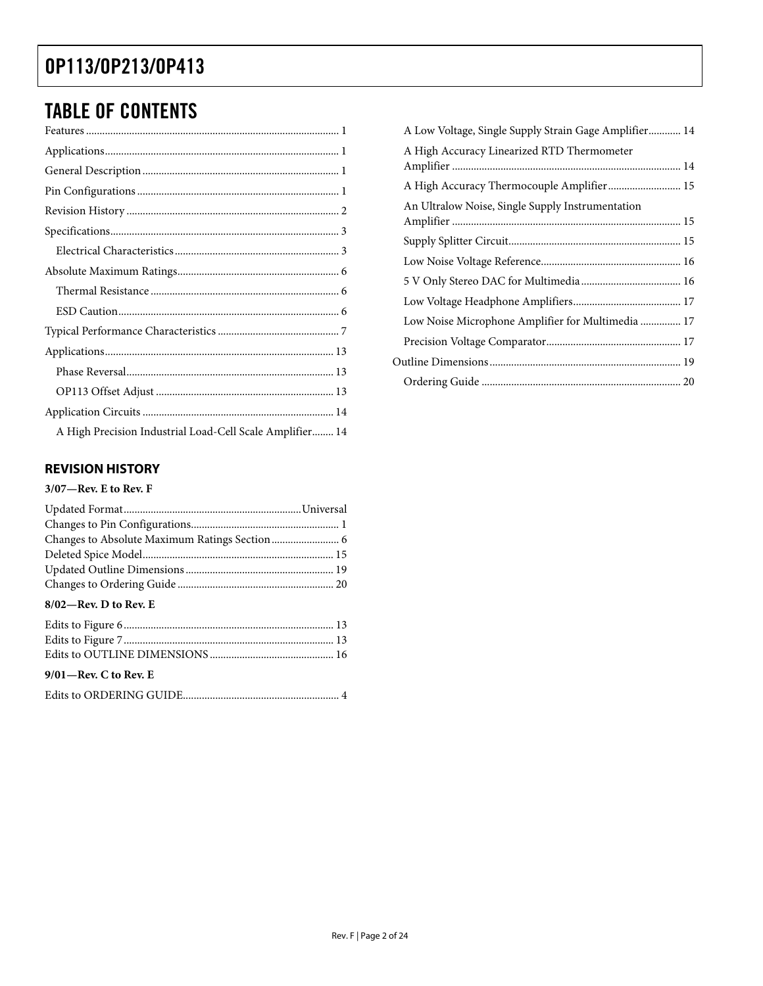# <span id="page-1-0"></span>TABLE OF CONTENTS

| A High Precision Industrial Load-Cell Scale Amplifier 14 |  |
|----------------------------------------------------------|--|

### **REVISION HISTORY**

### **3/07—Rev. E to Rev. F**

| $8/02$ —Rev. D to Rev. E |  |
|--------------------------|--|
|                          |  |
|                          |  |
|                          |  |

### **9/01—Rev. C to Rev. E**

|--|

| A Low Voltage, Single Supply Strain Gage Amplifier 14 |  |
|-------------------------------------------------------|--|
| A High Accuracy Linearized RTD Thermometer            |  |
|                                                       |  |
| An Ultralow Noise, Single Supply Instrumentation      |  |
|                                                       |  |
|                                                       |  |
|                                                       |  |
|                                                       |  |
| Low Noise Microphone Amplifier for Multimedia  17     |  |
|                                                       |  |
|                                                       |  |
|                                                       |  |
|                                                       |  |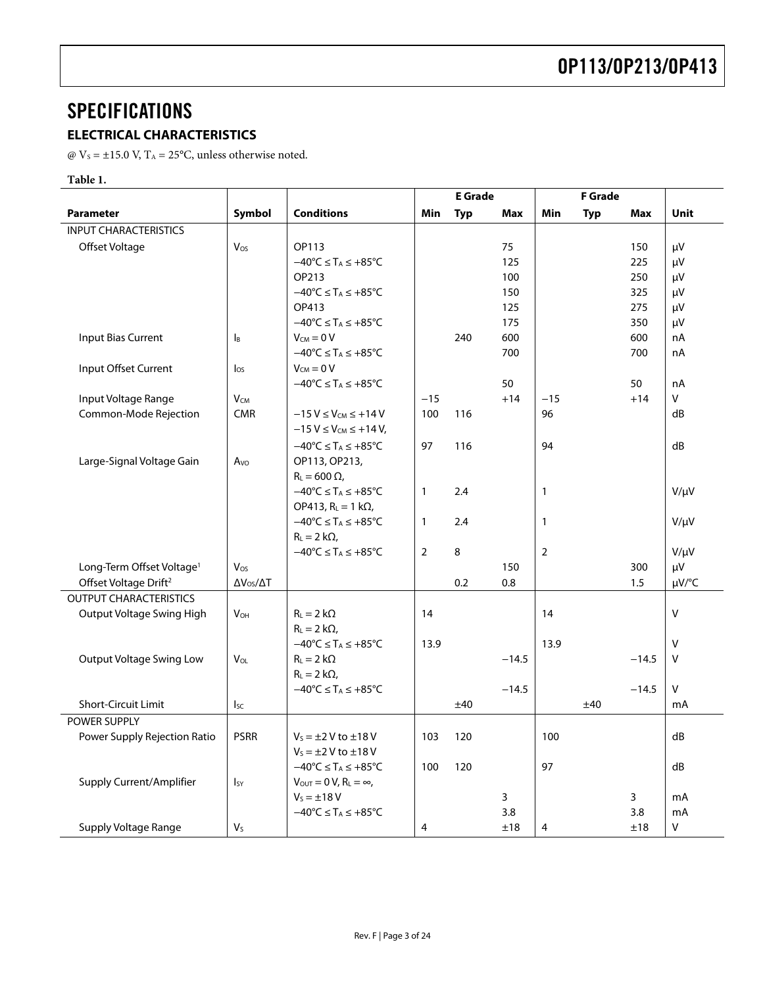## <span id="page-2-0"></span>**SPECIFICATIONS**

### **ELECTRICAL CHARACTERISTICS**

@  $V_s = \pm 15.0$  V, T<sub>A</sub> = 25°C, unless otherwise noted.

### **Table 1.**

|                                       |                           |                                                               |                | <b>E</b> Grade |         |                | <b>F</b> Grade |         |             |
|---------------------------------------|---------------------------|---------------------------------------------------------------|----------------|----------------|---------|----------------|----------------|---------|-------------|
| <b>Parameter</b>                      | Symbol                    | <b>Conditions</b>                                             | <b>Min</b>     | <b>Typ</b>     | Max     | Min            | <b>Typ</b>     | Max     | <b>Unit</b> |
| <b>INPUT CHARACTERISTICS</b>          |                           |                                                               |                |                |         |                |                |         |             |
| Offset Voltage                        | Vos                       | OP113                                                         |                |                | 75      |                |                | 150     | μV          |
|                                       |                           | $-40^{\circ}$ C $\leq$ T <sub>A</sub> $\leq$ +85°C            |                |                | 125     |                |                | 225     | μV          |
|                                       |                           | OP213                                                         |                |                | 100     |                |                | 250     | μV          |
|                                       |                           | $-40^{\circ}C \leq T_A \leq +85^{\circ}C$                     |                |                | 150     |                |                | 325     | μV          |
|                                       |                           | OP413                                                         |                |                | 125     |                |                | 275     | μV          |
|                                       |                           | $-40^{\circ}C \leq T_A \leq +85^{\circ}C$                     |                |                | 175     |                |                | 350     | $\mu$ V     |
| Input Bias Current                    | $\mathsf{I}_{\mathsf{B}}$ | $V_{CM} = 0 V$                                                |                | 240            | 600     |                |                | 600     | nA          |
|                                       |                           | $-40^{\circ}C \leq T_A \leq +85^{\circ}C$                     |                |                | 700     |                |                | 700     | nA          |
| Input Offset Current                  | $\log$                    | $V_{CM} = 0 V$                                                |                |                |         |                |                |         |             |
|                                       |                           | $-40^{\circ}$ C $\leq$ T <sub>A</sub> $\leq$ +85 $^{\circ}$ C |                |                | 50      |                |                | 50      | nA          |
| Input Voltage Range                   | $V_{CM}$                  |                                                               | $-15$          |                | $+14$   | $-15$          |                | $+14$   | V           |
| Common-Mode Rejection                 | <b>CMR</b>                | $-15V \leq V_{CM} \leq +14V$                                  | 100            | 116            |         | 96             |                |         | dB          |
|                                       |                           | $-15 V \le V_{CM} \le +14 V$ ,                                |                |                |         |                |                |         |             |
|                                       |                           | $-40^{\circ}C \leq T_A \leq +85^{\circ}C$                     | 97             | 116            |         | 94             |                |         | dB          |
| Large-Signal Voltage Gain             | Avo                       | OP113, OP213,                                                 |                |                |         |                |                |         |             |
|                                       |                           | $R_L = 600 \Omega$                                            |                |                |         |                |                |         |             |
|                                       |                           | $-40^{\circ}C \leq T_A \leq +85^{\circ}C$                     | $\mathbf{1}$   | 2.4            |         | $\mathbf{1}$   |                |         | $V/\mu V$   |
|                                       |                           | OP413, $R_L = 1 k\Omega$ ,                                    |                |                |         |                |                |         |             |
|                                       |                           | $-40^{\circ}C \leq T_A \leq +85^{\circ}C$                     | $\mathbf{1}$   | 2.4            |         | $\mathbf{1}$   |                |         | $V/\mu V$   |
|                                       |                           | $R_L = 2 k\Omega$                                             |                |                |         |                |                |         |             |
|                                       |                           | $-40^{\circ}C \leq T_A \leq +85^{\circ}C$                     | $\overline{2}$ | 8              |         | $\overline{2}$ |                |         | $V/\mu V$   |
| Long-Term Offset Voltage <sup>1</sup> | Vos                       |                                                               |                |                | 150     |                |                | 300     | μV          |
| Offset Voltage Drift <sup>2</sup>     | $\Delta V_{OS}/\Delta T$  |                                                               |                | 0.2            | 0.8     |                |                | 1.5     | µV/°C       |
| <b>OUTPUT CHARACTERISTICS</b>         |                           |                                                               |                |                |         |                |                |         |             |
| Output Voltage Swing High             | $V_{OH}$                  | $R_L = 2 k\Omega$                                             | 14             |                |         | 14             |                |         | $\vee$      |
|                                       |                           | $R_L = 2 k\Omega$ ,                                           |                |                |         |                |                |         |             |
|                                       |                           | $-40^{\circ}C \leq T_A \leq +85^{\circ}C$                     | 13.9           |                |         | 13.9           |                |         | v           |
| <b>Output Voltage Swing Low</b>       | $V_{OL}$                  | $R_L = 2 k\Omega$                                             |                |                | $-14.5$ |                |                | $-14.5$ | $\vee$      |
|                                       |                           | $R_L = 2 k\Omega$                                             |                |                |         |                |                |         |             |
|                                       |                           | $-40^{\circ}C \leq T_A \leq +85^{\circ}C$                     |                |                | $-14.5$ |                |                | $-14.5$ | V           |
| Short-Circuit Limit                   | $I_{SC}$                  |                                                               |                | ±40            |         |                | ±40            |         | mA          |
| <b>POWER SUPPLY</b>                   |                           |                                                               |                |                |         |                |                |         |             |
| Power Supply Rejection Ratio          | <b>PSRR</b>               | $V_s = \pm 2$ V to $\pm 18$ V                                 | 103            | 120            |         | 100            |                |         | dB          |
|                                       |                           | $V_s = \pm 2$ V to $\pm 18$ V                                 |                |                |         |                |                |         |             |
|                                       |                           | $-40^{\circ}$ C $\leq$ T <sub>A</sub> $\leq$ +85 $^{\circ}$ C | 100            | 120            |         | 97             |                |         | dB          |
| Supply Current/Amplifier              | $I_{SY}$                  | $V_{\text{OUT}} = 0 V$ , $R_L = \infty$ ,                     |                |                |         |                |                |         |             |
|                                       |                           | $V_s = \pm 18 V$                                              |                |                | 3       |                |                | 3       | mA          |
|                                       |                           | $-40^{\circ}C \leq T_A \leq +85^{\circ}C$                     |                |                | 3.8     |                |                | 3.8     | mA          |
| Supply Voltage Range                  | Vs                        |                                                               | 4              |                | ±18     | 4              |                | ±18     | V           |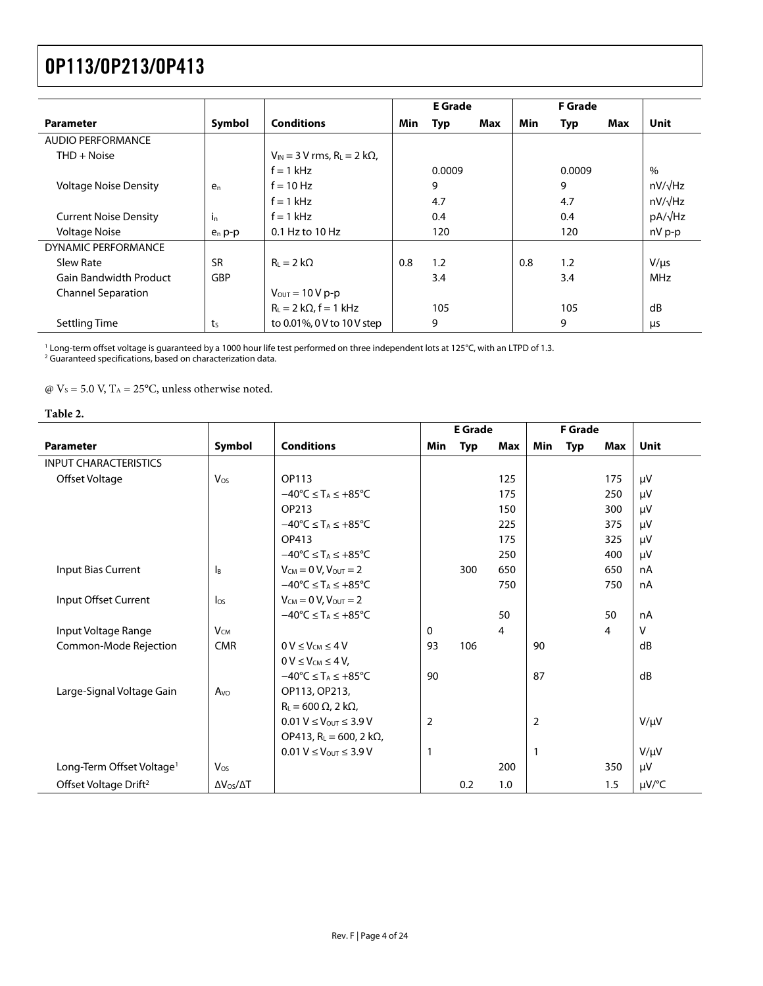<span id="page-3-0"></span>

|                               |                |                                                     |     | <b>E</b> Grade |     |     | <b>F</b> Grade |     |                |
|-------------------------------|----------------|-----------------------------------------------------|-----|----------------|-----|-----|----------------|-----|----------------|
| <b>Parameter</b>              | Symbol         | <b>Conditions</b>                                   | Min | Typ            | Max | Min | <b>Typ</b>     | Max | Unit           |
| <b>AUDIO PERFORMANCE</b>      |                |                                                     |     |                |     |     |                |     |                |
| $THD + Noise$                 |                | $V_{IN}$ = 3 V rms. R <sub>L</sub> = 2 k $\Omega$ . |     |                |     |     |                |     |                |
|                               |                | $f = 1$ kHz                                         |     | 0.0009         |     |     | 0.0009         |     | $\%$           |
| <b>Voltage Noise Density</b>  | e <sub>n</sub> | $f = 10$ Hz                                         |     | 9              |     |     | 9              |     | $nV/\sqrt{Hz}$ |
|                               |                | $f = 1$ kHz                                         |     | 4.7            |     |     | 4.7            |     | $nV/\sqrt{Hz}$ |
| <b>Current Noise Density</b>  | $\ln$          | $f = 1$ kHz                                         |     | 0.4            |     |     | 0.4            |     | pA/√Hz         |
| <b>Voltage Noise</b>          | $e_n p-p$      | $0.1$ Hz to $10$ Hz                                 |     | 120            |     |     | 120            |     | $nV p-p$       |
| DYNAMIC PERFORMANCE           |                |                                                     |     |                |     |     |                |     |                |
| Slew Rate                     | <b>SR</b>      | $R_{L} = 2 k\Omega$                                 | 0.8 | 1.2            |     | 0.8 | 1.2            |     | $V/\mu s$      |
| <b>Gain Bandwidth Product</b> | <b>GBP</b>     |                                                     |     | 3.4            |     |     | 3.4            |     | <b>MHz</b>     |
| <b>Channel Separation</b>     |                | $V_{\text{OUT}} = 10 V p-p$                         |     |                |     |     |                |     |                |
|                               |                | $R_L = 2 k\Omega$ , f = 1 kHz                       |     | 105            |     |     | 105            |     | dB             |
| Settling Time                 | t <sub>S</sub> | to 0.01%, 0 V to 10 V step                          |     | 9              |     |     | 9              |     | μs             |

' Long-term offset voltage is guaranteed by a 1000 hour life test performed on three independent lots at 125℃, with an LTPD of 1.3.<br><sup>2</sup> Guaranteed specifications, based on characterization data.

 $\omega$  V<sub>s</sub> = 5.0 V, T<sub>A</sub> = 25°C, unless otherwise noted.

#### **Table 2.**

|                                       |                          |                                                               | <b>E</b> Grade |            | <b>F</b> Grade |                |            |                |             |
|---------------------------------------|--------------------------|---------------------------------------------------------------|----------------|------------|----------------|----------------|------------|----------------|-------------|
| Parameter                             | Symbol                   | <b>Conditions</b>                                             | Min            | <b>Typ</b> | <b>Max</b>     | Min            | <b>Typ</b> | <b>Max</b>     | <b>Unit</b> |
| <b>INPUT CHARACTERISTICS</b>          |                          |                                                               |                |            |                |                |            |                |             |
| Offset Voltage                        | Vos                      | OP113                                                         |                |            | 125            |                |            | 175            | $\mu$ V     |
|                                       |                          | $-40^{\circ}C \leq T_A \leq +85^{\circ}C$                     |                |            | 175            |                |            | 250            | $\mu$ V     |
|                                       |                          | OP213                                                         |                |            | 150            |                |            | 300            | μV          |
|                                       |                          | $-40^{\circ}$ C $\leq$ T <sub>A</sub> $\leq$ +85°C            |                |            | 225            |                |            | 375            | $\mu$ V     |
|                                       |                          | OP413                                                         |                |            | 175            |                |            | 325            | μV          |
|                                       |                          | $-40^{\circ}C \leq T_A \leq +85^{\circ}C$                     |                |            | 250            |                |            | 400            | $\mu$ V     |
| Input Bias Current                    | IB                       | $V_{CM} = 0 V$ , $V_{OUT} = 2$                                |                | 300        | 650            |                |            | 650            | nA          |
|                                       |                          | $-40^{\circ}C \leq T_A \leq +85^{\circ}C$                     |                |            | 750            |                |            | 750            | nA          |
| Input Offset Current                  | $\log$                   | $V_{CM} = 0 V$ , $V_{OUT} = 2$                                |                |            |                |                |            |                |             |
|                                       |                          | $-40^{\circ}$ C $\leq$ T <sub>A</sub> $\leq$ +85 $^{\circ}$ C |                |            | 50             |                |            | 50             | nA          |
| Input Voltage Range                   | $V_{CM}$                 |                                                               | 0              |            | 4              |                |            | $\overline{4}$ | V           |
| Common-Mode Rejection                 | <b>CMR</b>               | $0 V \leq V_{CM} \leq 4 V$                                    | 93             | 106        |                | 90             |            |                | dB          |
|                                       |                          | $0 V \leq V_{CM} \leq 4 V$                                    |                |            |                |                |            |                |             |
|                                       |                          | $-40^{\circ}$ C $\leq$ T <sub>A</sub> $\leq$ +85°C            | 90             |            |                | 87             |            |                | dB          |
| Large-Signal Voltage Gain             | $A$ vo                   | OP113, OP213,                                                 |                |            |                |                |            |                |             |
|                                       |                          | $R_L$ = 600 $\Omega$ , 2 k $\Omega$ ,                         |                |            |                |                |            |                |             |
|                                       |                          | $0.01 V \leq V_{\text{OUT}} \leq 3.9 V$                       | 2              |            |                | $\overline{2}$ |            |                | $V/\mu V$   |
|                                       |                          | OP413, R <sub>L</sub> = 600, 2 kΩ,                            |                |            |                |                |            |                |             |
|                                       |                          | $0.01 V \leq V_{\text{OUT}} \leq 3.9 V$                       | 1              |            |                | $\mathbf{1}$   |            |                | $V/\mu V$   |
| Long-Term Offset Voltage <sup>1</sup> | $V_{OS}$                 |                                                               |                |            | 200            |                |            | 350            | μV          |
| Offset Voltage Drift <sup>2</sup>     | $\Delta V_{OS}/\Delta T$ |                                                               |                | 0.2        | 1.0            |                |            | 1.5            | µV/°C       |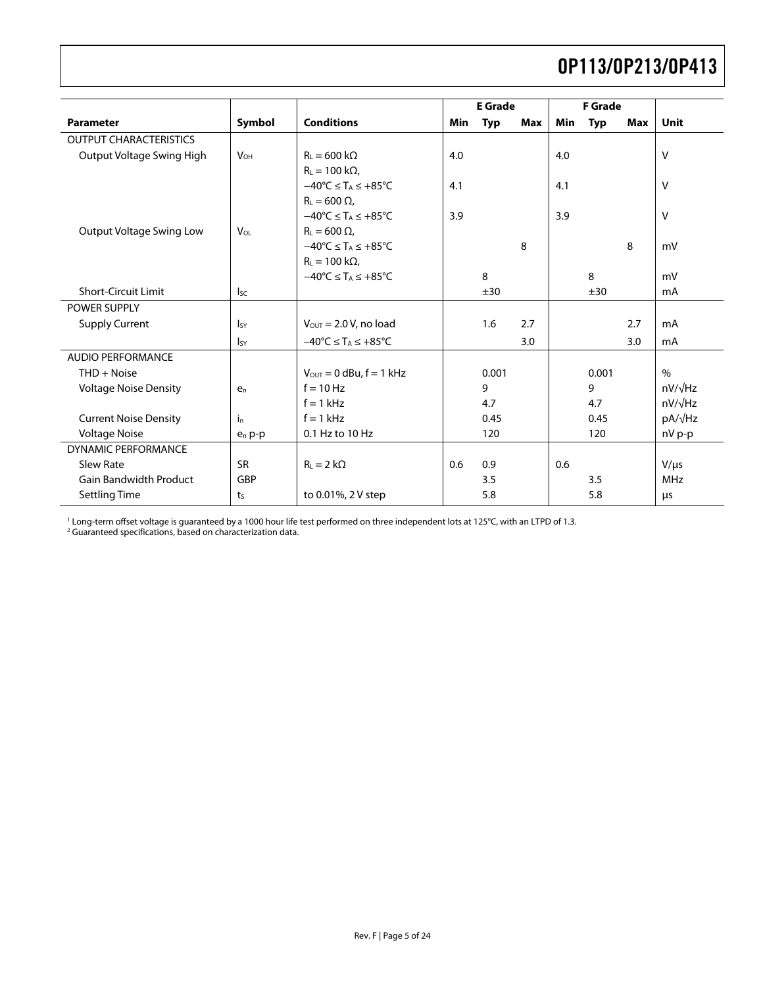<span id="page-4-0"></span>

|                               |                            |                                                               | <b>E</b> Grade |            | <b>F</b> Grade |            |            |            |                |
|-------------------------------|----------------------------|---------------------------------------------------------------|----------------|------------|----------------|------------|------------|------------|----------------|
| <b>Parameter</b>              | Symbol                     | <b>Conditions</b>                                             | Min            | <b>Typ</b> | <b>Max</b>     | <b>Min</b> | <b>Typ</b> | <b>Max</b> | <b>Unit</b>    |
| <b>OUTPUT CHARACTERISTICS</b> |                            |                                                               |                |            |                |            |            |            |                |
| Output Voltage Swing High     | <b>V<sub>OH</sub></b>      | $R_{L} = 600 k\Omega$                                         | 4.0            |            |                | 4.0        |            |            | v              |
|                               |                            | $R_L = 100 k\Omega$ ,                                         |                |            |                |            |            |            |                |
|                               |                            | $-40^{\circ}$ C $\leq$ T <sub>A</sub> $\leq$ +85°C            | 4.1            |            |                | 4.1        |            |            | v              |
|                               |                            | $R_1 = 600 \Omega$                                            |                |            |                |            |            |            |                |
|                               |                            | $-40^{\circ}$ C $\leq$ T <sub>A</sub> $\leq$ +85°C            | 3.9            |            |                | 3.9        |            |            | $\vee$         |
| Output Voltage Swing Low      | $V_{OL}$                   | $R_L = 600 \Omega$ ,                                          |                |            |                |            |            |            |                |
|                               |                            | $-40^{\circ}C \leq T_A \leq +85^{\circ}C$                     |                |            | 8              |            |            | 8          | mV             |
|                               |                            | $R_L = 100 k\Omega$ ,                                         |                |            |                |            |            |            |                |
|                               |                            | $-40^{\circ}$ C $\leq$ T <sub>A</sub> $\leq$ +85°C            |                | 8          |                |            | 8          |            | mV             |
| <b>Short-Circuit Limit</b>    | $\mathsf{I}_{\mathsf{SC}}$ |                                                               |                | ±30        |                |            | ±30        |            | mA             |
| <b>POWER SUPPLY</b>           |                            |                                                               |                |            |                |            |            |            |                |
| <b>Supply Current</b>         | $\mathsf{I}_{\mathsf{SY}}$ | $V_{\text{OUT}} = 2.0 V$ , no load                            |                | 1.6        | 2.7            |            |            | 2.7        | mA             |
|                               | $I_{SY}$                   | $-40^{\circ}$ C $\leq$ T <sub>A</sub> $\leq$ +85 $^{\circ}$ C |                |            | 3.0            |            |            | 3.0        | mA             |
| <b>AUDIO PERFORMANCE</b>      |                            |                                                               |                |            |                |            |            |            |                |
| $THD + Noise$                 |                            | $V_{\text{OUT}} = 0$ dBu, $f = 1$ kHz                         |                | 0.001      |                |            | 0.001      |            | $\%$           |
| <b>Voltage Noise Density</b>  | $e_n$                      | $f = 10$ Hz                                                   |                | 9          |                |            | 9          |            | $nV/\sqrt{Hz}$ |
|                               |                            | $f = 1$ kHz                                                   |                | 4.7        |                |            | 4.7        |            | $nV/\sqrt{Hz}$ |
| <b>Current Noise Density</b>  | i <sub>n</sub>             | $f = 1$ kHz                                                   |                | 0.45       |                |            | 0.45       |            | pA/√Hz         |
| <b>Voltage Noise</b>          | $e_n p-p$                  | 0.1 Hz to 10 Hz                                               |                | 120        |                |            | 120        |            | nV p-p         |
| <b>DYNAMIC PERFORMANCE</b>    |                            |                                                               |                |            |                |            |            |            |                |
| Slew Rate                     | <b>SR</b>                  | $R_L = 2 k\Omega$                                             | 0.6            | 0.9        |                | 0.6        |            |            | $V/\mu s$      |
| <b>Gain Bandwidth Product</b> | GBP                        |                                                               |                | 3.5        |                |            | 3.5        |            | <b>MHz</b>     |
| <b>Settling Time</b>          | $t_{S}$                    | to 0.01%, 2 V step                                            |                | 5.8        |                |            | 5.8        |            | μs             |

' Long-term offset voltage is guaranteed by a 1000 hour life test performed on three independent lots at 125℃, with an LTPD of 1.3.<br><sup>2</sup> Guaranteed specifications, based on characterization data.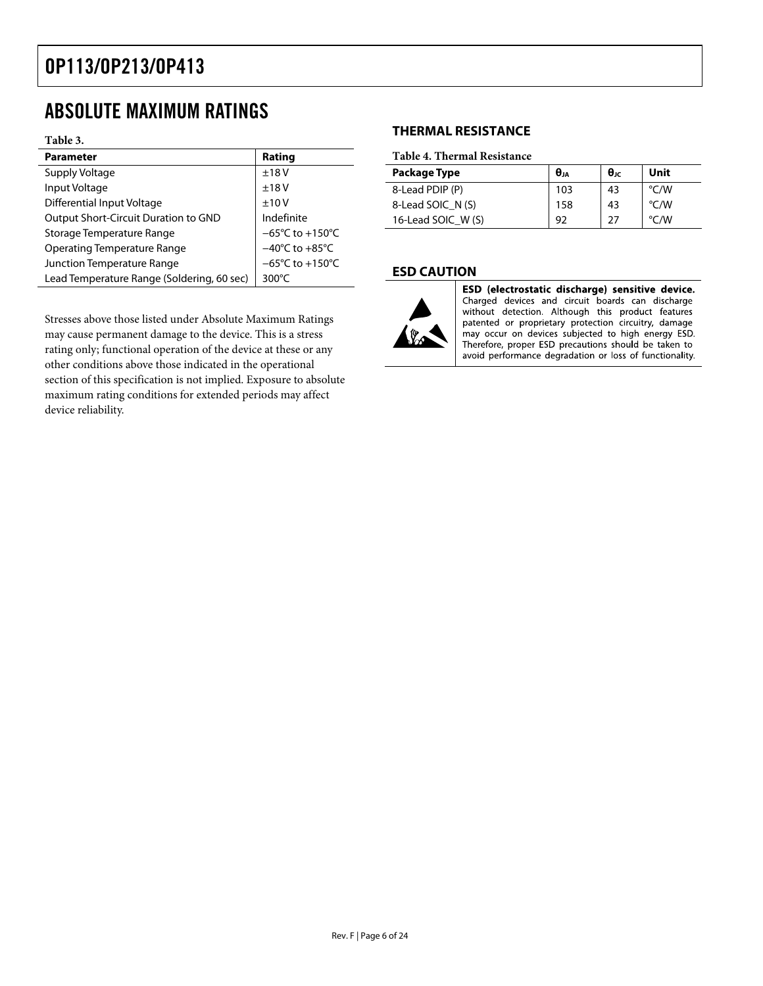## <span id="page-5-0"></span>ABSOLUTE MAXIMUM RATINGS

#### **Table 3.**

| <b>Parameter</b>                           | Rating                              |
|--------------------------------------------|-------------------------------------|
| Supply Voltage                             | ±18V                                |
| Input Voltage                              | ±18V                                |
| Differential Input Voltage                 | ±10V                                |
| Output Short-Circuit Duration to GND       | Indefinite                          |
| Storage Temperature Range                  | $-65^{\circ}$ C to $+150^{\circ}$ C |
| <b>Operating Temperature Range</b>         | $-40^{\circ}$ C to $+85^{\circ}$ C  |
| Junction Temperature Range                 | $-65^{\circ}$ C to $+150^{\circ}$ C |
| Lead Temperature Range (Soldering, 60 sec) | $300^{\circ}$ C                     |

Stresses above those listed under Absolute Maximum Ratings may cause permanent damage to the device. This is a stress rating only; functional operation of the device at these or any other conditions above those indicated in the operational section of this specification is not implied. Exposure to absolute maximum rating conditions for extended periods may affect device reliability.

### **THERMAL RESISTANCE**

#### **Table 4. Thermal Resistance**

| Package Type       | $\theta_{JA}$ | $\theta$ JC | Unit          |
|--------------------|---------------|-------------|---------------|
| 8-Lead PDIP (P)    | 103           | 43          | $\degree$ C/W |
| 8-Lead SOIC N(S)   | 158           | 43          | $\degree$ C/W |
| 16-Lead SOIC W (S) | 92            | 27          | $\degree$ C/W |

#### **ESD CAUTION**



ESD (electrostatic discharge) sensitive device. Charged devices and circuit boards can discharge without detection. Although this product features patented or proprietary protection circuitry, damage may occur on devices subjected to high energy ESD. Therefore, proper ESD precautions should be taken to avoid performance degradation or loss of functionality.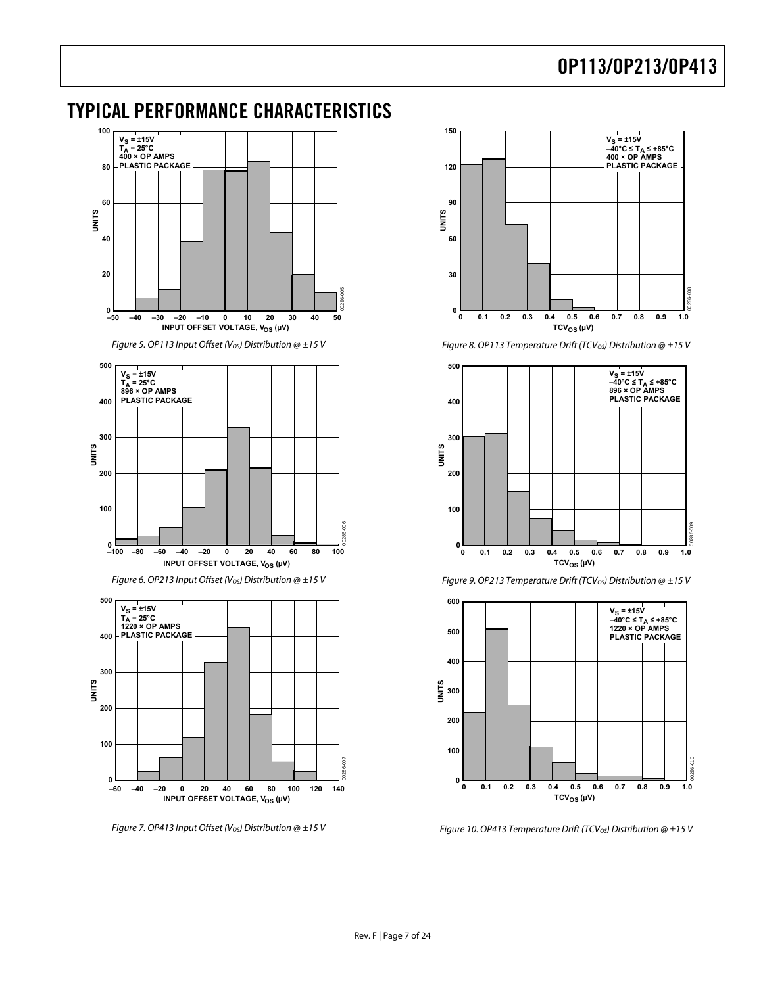## <span id="page-6-0"></span>TYPICAL PERFORMANCE CHARACTERISTICS



Figure 7. OP413 Input Offset (Vos) Distribution  $@ \pm 15 V$ 



Figure 8. OP113 Temperature Drift (TCV<sub>OS</sub>) Distribution  $@{\pm 15}$  V





Figure 9. OP213 Temperature Drift (TCV<sub>OS</sub>) Distribution  $@ \pm 15 V$ 

Figure 10. OP413 Temperature Drift (TCV<sub>OS</sub>) Distribution @  $\pm$ 15 V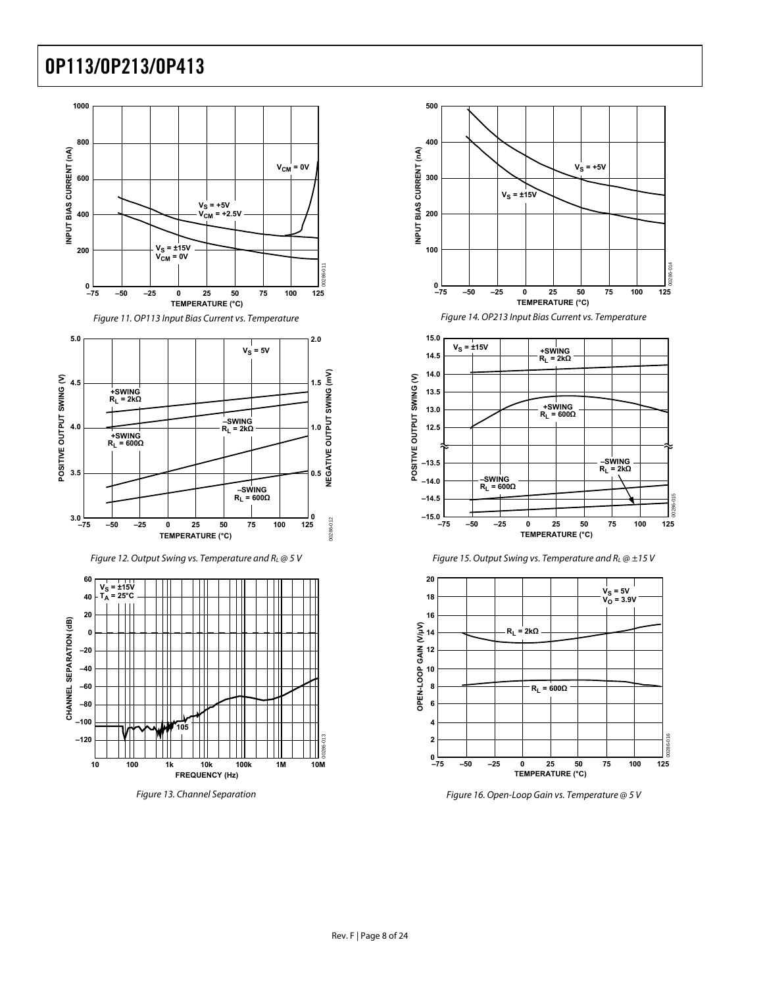



Figure 12. Output Swing vs. Temperature and  $R_L \omega$  5 V



Figure 13. Channel Separation



Figure 14. OP213 Input Bias Current vs. Temperature







Figure 16. Open-Loop Gain vs. Temperature @ 5 V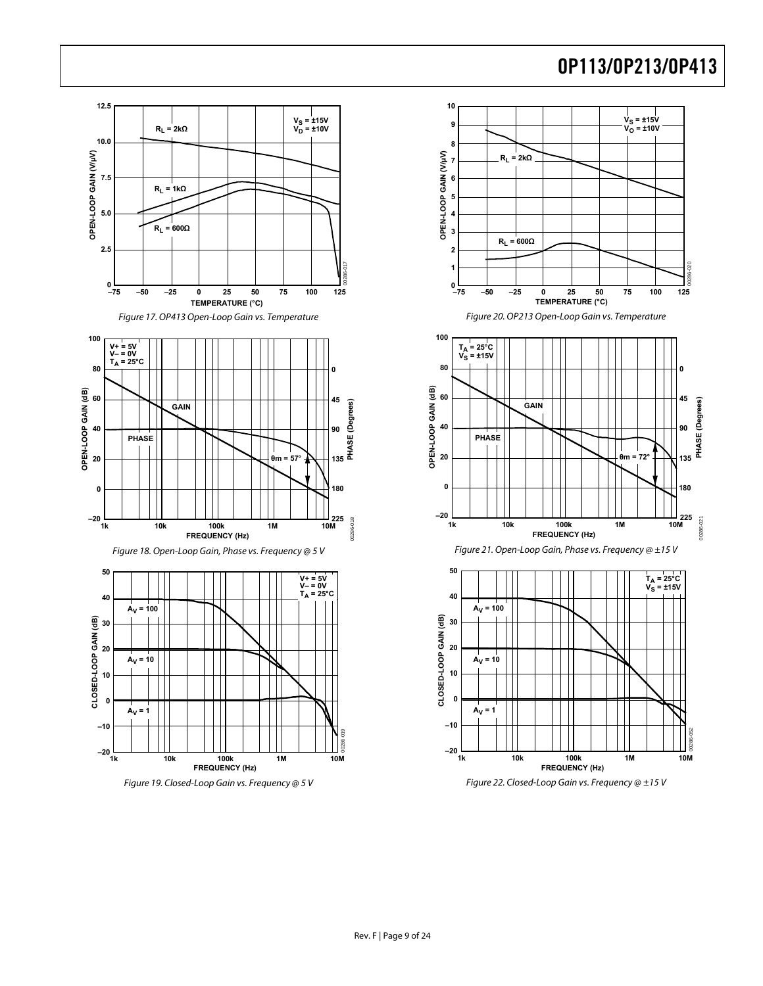00286-020

**90**

**PHASE (Degrees)**

PHASE (Degrees)

00286-021

00286-021

00286-052

**45**

**0**

**135**

**180**

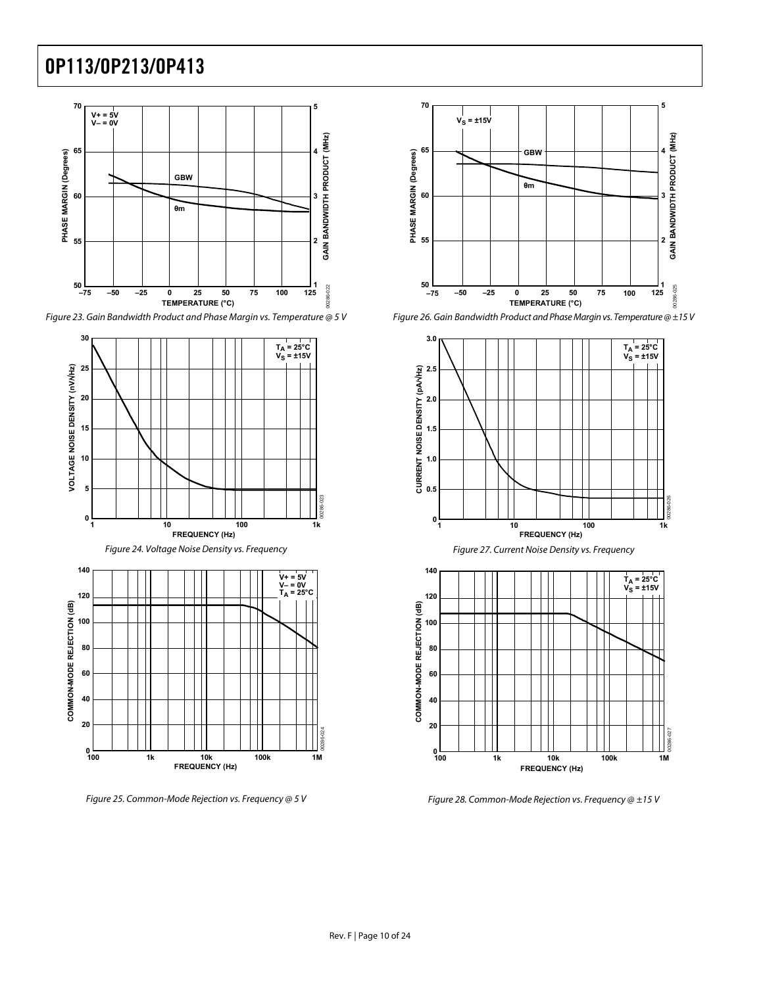

Figure 23. Gain Bandwidth Product and Phase Margin vs. Temperature @ 5 V



Figure 25. Common-Mode Rejection vs. Frequency @ 5 V



Figure 26. Gain Bandwidth Product and Phase Margin vs. Temperature @ ±15 V







Figure 28. Common-Mode Rejection vs. Frequency  $@$   $\pm$ 15 V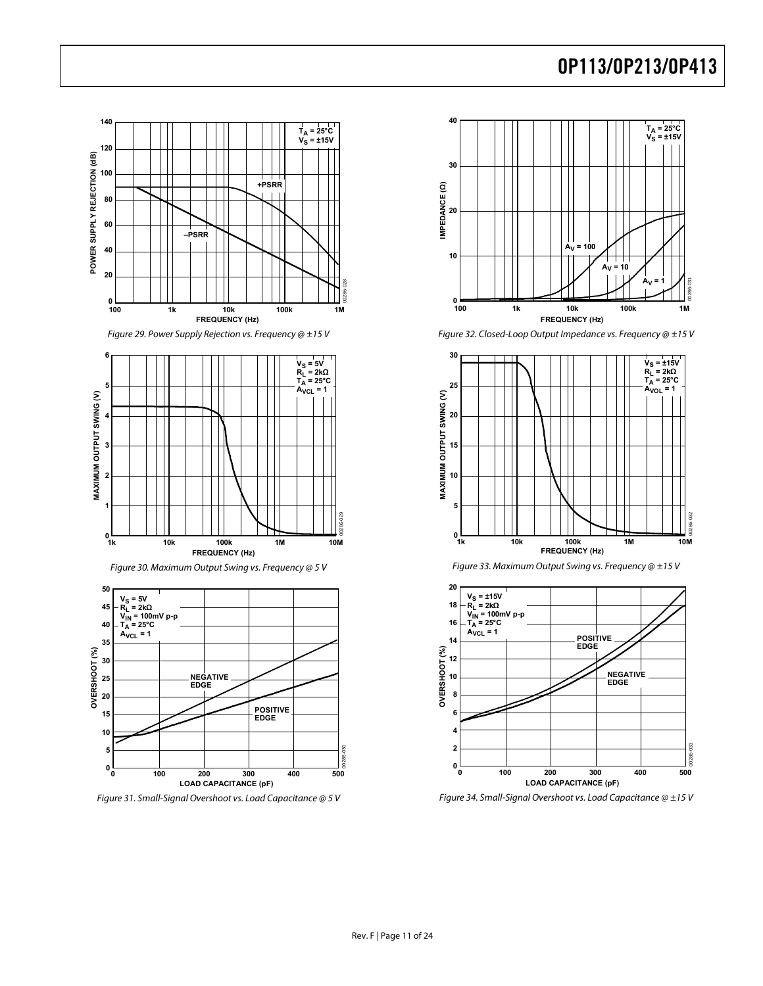

Figure 29. Power Supply Rejection vs. Frequency @ ±15 V





Figure 31. Small-Signal Overshoot vs. Load Capacitance @ 5 V



Figure 32. Closed-Loop Output Impedance vs. Frequency @ ±15 V







Figure 34. Small-Signal Overshoot vs. Load Capacitance @ ±15 V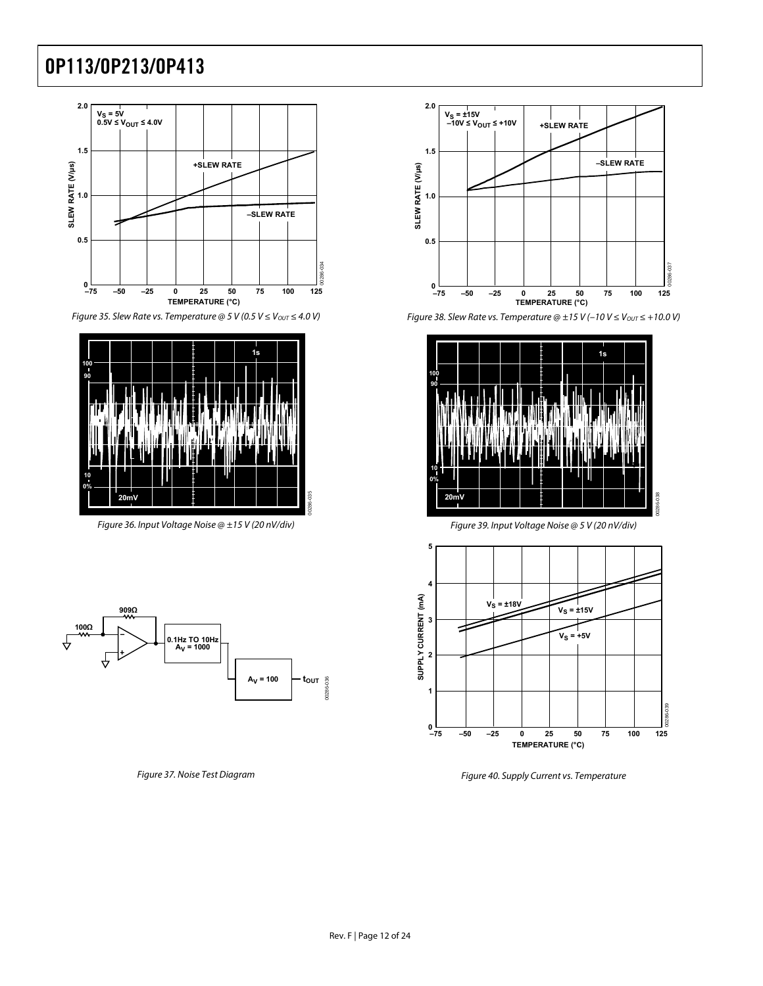



Figure 36. Input Voltage Noise @ ±15 V (20 nV/div) Figure 39. Input Voltage Noise @ 5 V (20 nV/div)





Figure 35. Slew Rate vs. Temperature @ 5 V (0.5 V  $\leq$  V<sub>OUT</sub>  $\leq$  4.0 V) Figure 38. Slew Rate vs. Temperature @ ±15 V (-10 V  $\leq$  V<sub>OUT</sub>  $\leq$  +10.0 V)





Figure 37. Noise Test Diagram Figure 40. Supply Current vs. Temperature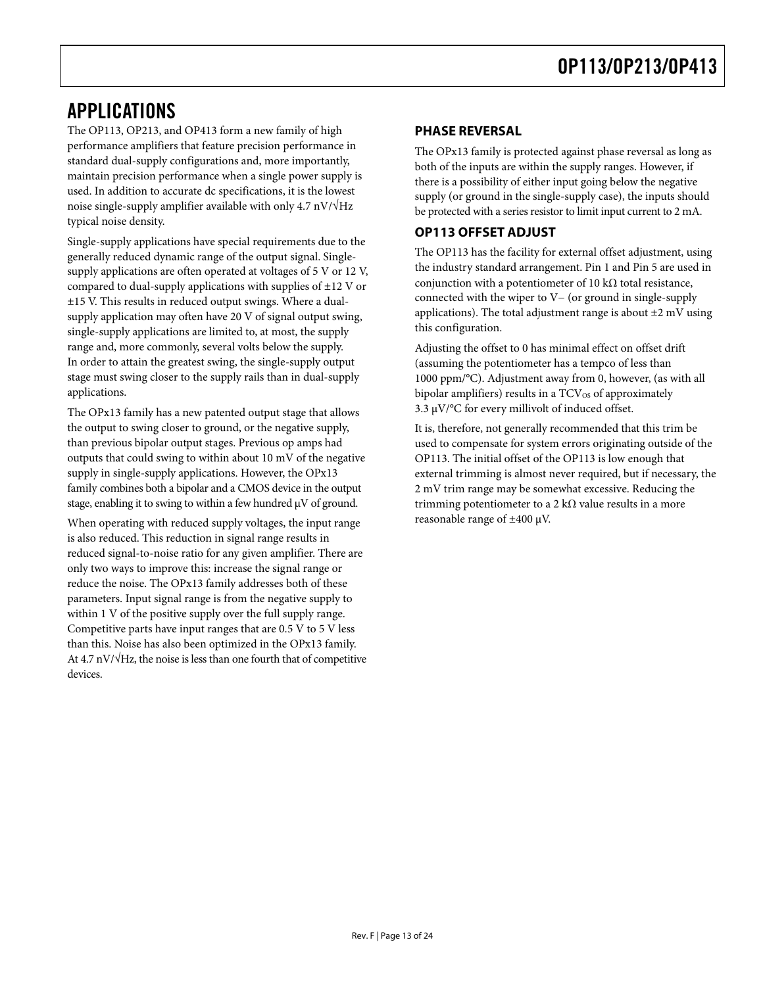## <span id="page-12-0"></span>APPLICATIONS

The OP113, OP213, and OP413 form a new family of high performance amplifiers that feature precision performance in standard dual-supply configurations and, more importantly, maintain precision performance when a single power supply is used. In addition to accurate dc specifications, it is the lowest noise single-supply amplifier available with only  $4.7 \text{ nV}/\sqrt{\text{Hz}}$ typical noise density.

Single-supply applications have special requirements due to the generally reduced dynamic range of the output signal. Singlesupply applications are often operated at voltages of 5 V or 12 V, compared to dual-supply applications with supplies of ±12 V or ±15 V. This results in reduced output swings. Where a dualsupply application may often have 20 V of signal output swing, single-supply applications are limited to, at most, the supply range and, more commonly, several volts below the supply. In order to attain the greatest swing, the single-supply output stage must swing closer to the supply rails than in dual-supply applications.

The OPx13 family has a new patented output stage that allows the output to swing closer to ground, or the negative supply, than previous bipolar output stages. Previous op amps had outputs that could swing to within about 10 mV of the negative supply in single-supply applications. However, the OPx13 family combines both a bipolar and a CMOS device in the output stage, enabling it to swing to within a few hundred μV of ground.

When operating with reduced supply voltages, the input range is also reduced. This reduction in signal range results in reduced signal-to-noise ratio for any given amplifier. There are only two ways to improve this: increase the signal range or reduce the noise. The OPx13 family addresses both of these parameters. Input signal range is from the negative supply to within 1 V of the positive supply over the full supply range. Competitive parts have input ranges that are 0.5 V to 5 V less than this. Noise has also been optimized in the OPx13 family. At 4.7 nV/ $\sqrt{Hz}$ , the noise is less than one fourth that of competitive devices.

### **PHASE REVERSAL**

The OPx13 family is protected against phase reversal as long as both of the inputs are within the supply ranges. However, if there is a possibility of either input going below the negative supply (or ground in the single-supply case), the inputs should be protected with a series resistor to limit input current to 2 mA.

### **OP113 OFFSET ADJUST**

The OP113 has the facility for external offset adjustment, using the industry standard arrangement. Pin 1 and Pin 5 are used in conjunction with a potentiometer of 10 kΩ total resistance, connected with the wiper to V− (or ground in single-supply applications). The total adjustment range is about  $\pm 2$  mV using this configuration.

Adjusting the offset to 0 has minimal effect on offset drift (assuming the potentiometer has a tempco of less than 1000 ppm/°C). Adjustment away from 0, however, (as with all bipolar amplifiers) results in a  $TCV_{OS}$  of approximately 3.3  $\mu$ V/°C for every millivolt of induced offset.

It is, therefore, not generally recommended that this trim be used to compensate for system errors originating outside of the OP113. The initial offset of the OP113 is low enough that external trimming is almost never required, but if necessary, the 2 mV trim range may be somewhat excessive. Reducing the trimming potentiometer to a 2 k $\Omega$  value results in a more reasonable range of ±400 μV.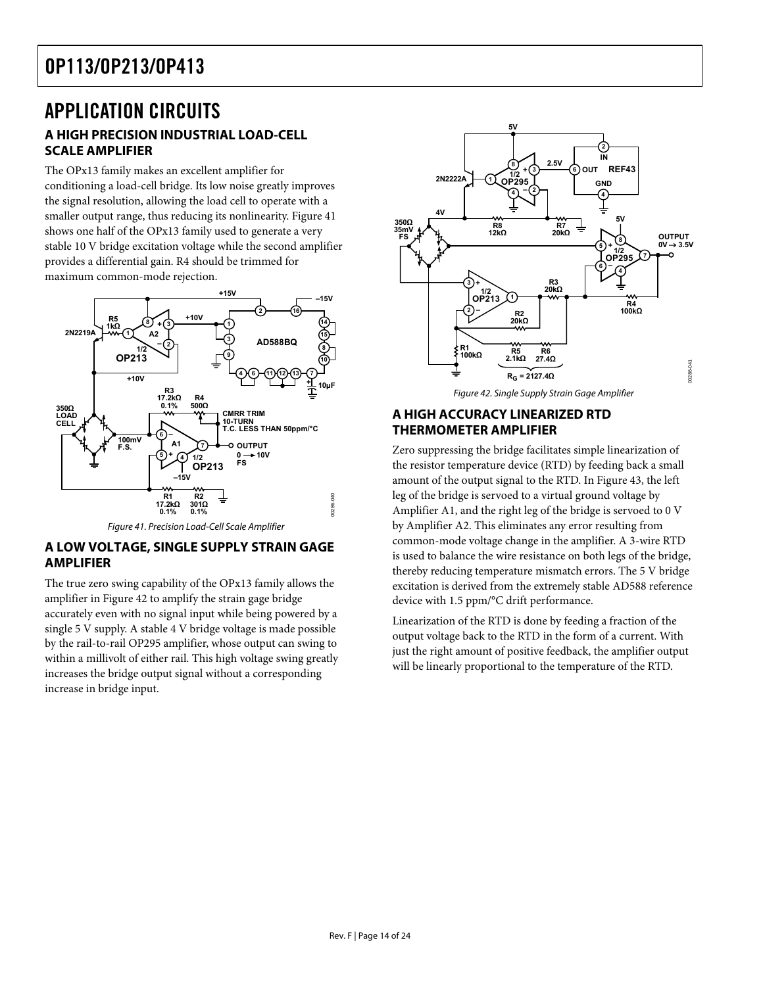### <span id="page-13-0"></span>APPLICATION CIRCUITS **A HIGH PRECISION INDUSTRIAL LOAD-CELL SCALE AMPLIFIER**

The OPx13 family makes an excellent amplifier for conditioning a load-cell bridge. Its low noise greatly improves the signal resolution, allowing the load cell to operate with a smaller output range, thus reducing its nonlinearity. [Figure 41](#page-13-1) shows one half of the OPx13 family used to generate a very stable 10 V bridge excitation voltage while the second amplifier provides a differential gain. R4 should be trimmed for maximum common-mode rejection.

<span id="page-13-2"></span>

Figure 41. Precision Load-Cell Scale Amplifier

### <span id="page-13-1"></span>**A LOW VOLTAGE, SINGLE SUPPLY STRAIN GAGE AMPLIFIER**

The true zero swing capability of the OPx13 family allows the amplifier in [Figure 42](#page-13-2) to amplify the strain gage bridge accurately even with no signal input while being powered by a single 5 V supply. A stable 4 V bridge voltage is made possible by the rail-to-rail OP295 amplifier, whose output can swing to within a millivolt of either rail. This high voltage swing greatly increases the bridge output signal without a corresponding increase in bridge input.



### **A HIGH ACCURACY LINEARIZED RTD THERMOMETER AMPLIFIER**

Zero suppressing the bridge facilitates simple linearization of the resistor temperature device (RTD) by feeding back a small amount of the output signal to the RTD. In [Figure 43,](#page-14-1) the left leg of the bridge is servoed to a virtual ground voltage by Amplifier A1, and the right leg of the bridge is servoed to 0 V by Amplifier A2. This eliminates any error resulting from common-mode voltage change in the amplifier. A 3-wire RTD is used to balance the wire resistance on both legs of the bridge, thereby reducing temperature mismatch errors. The 5 V bridge excitation is derived from the extremely stable AD588 reference device with 1.5 ppm/°C drift performance.

Linearization of the RTD is done by feeding a fraction of the output voltage back to the RTD in the form of a current. With just the right amount of positive feedback, the amplifier output will be linearly proportional to the temperature of the RTD.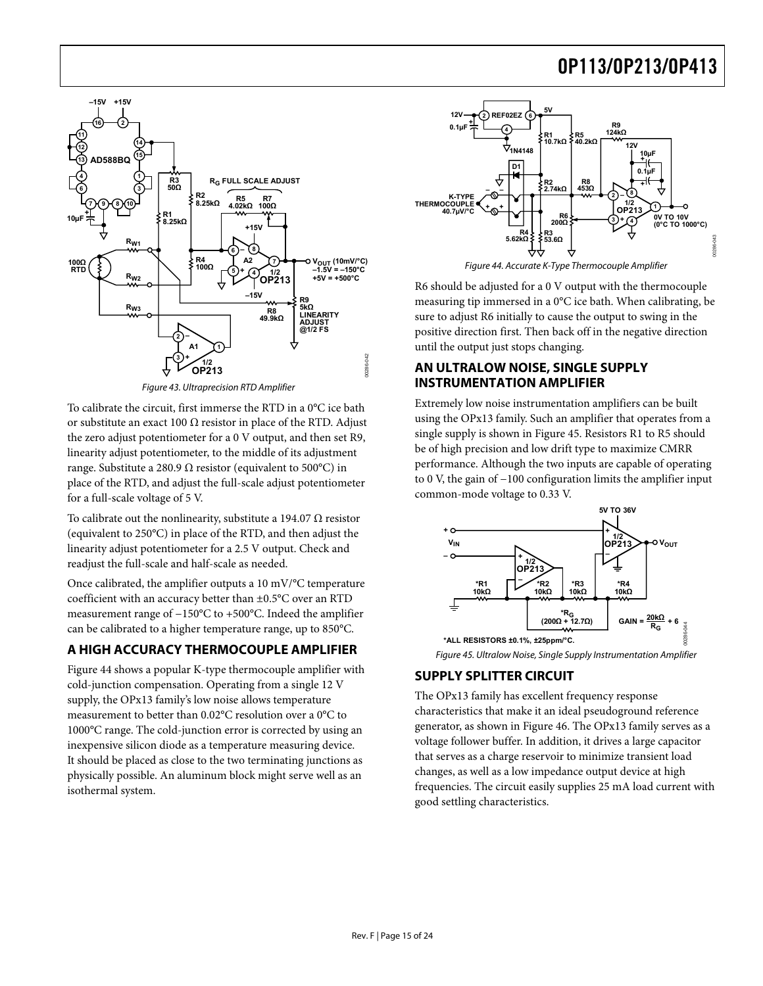<span id="page-14-0"></span>

Figure 43. Ultraprecision RTD Amplifier

<span id="page-14-2"></span><span id="page-14-1"></span>To calibrate the circuit, first immerse the RTD in a 0°C ice bath or substitute an exact 100  $\Omega$  resistor in place of the RTD. Adjust the zero adjust potentiometer for a 0 V output, and then set R9, linearity adjust potentiometer, to the middle of its adjustment range. Substitute a 280.9  $\Omega$  resistor (equivalent to 500°C) in place of the RTD, and adjust the full-scale adjust potentiometer for a full-scale voltage of 5 V.

To calibrate out the nonlinearity, substitute a 194.07  $\Omega$  resistor (equivalent to 250°C) in place of the RTD, and then adjust the linearity adjust potentiometer for a 2.5 V output. Check and readjust the full-scale and half-scale as needed.

Once calibrated, the amplifier outputs a 10 mV/°C temperature coefficient with an accuracy better than ±0.5°C over an RTD measurement range of −150°C to +500°C. Indeed the amplifier can be calibrated to a higher temperature range, up to 850°C.

### <span id="page-14-3"></span>**A HIGH ACCURACY THERMOCOUPLE AMPLIFIER**

[Figure 44](#page-14-2) shows a popular K-type thermocouple amplifier with cold-junction compensation. Operating from a single 12 V supply, the OPx13 family's low noise allows temperature measurement to better than 0.02°C resolution over a 0°C to 1000°C range. The cold-junction error is corrected by using an inexpensive silicon diode as a temperature measuring device. It should be placed as close to the two terminating junctions as physically possible. An aluminum block might serve well as an isothermal system.



R6 should be adjusted for a 0 V output with the thermocouple measuring tip immersed in a 0°C ice bath. When calibrating, be sure to adjust R6 initially to cause the output to swing in the positive direction first. Then back off in the negative direction until the output just stops changing.

#### **AN ULTRALOW NOISE, SINGLE SUPPLY INSTRUMENTATION AMPLIFIER**

Extremely low noise instrumentation amplifiers can be built using the OPx13 family. Such an amplifier that operates from a single supply is shown in [Figure 45](#page-14-3). Resistors R1 to R5 should be of high precision and low drift type to maximize CMRR performance. Although the two inputs are capable of operating to 0 V, the gain of −100 configuration limits the amplifier input common-mode voltage to 0.33 V.



### **SUPPLY SPLITTER CIRCUIT**

The OPx13 family has excellent frequency response characteristics that make it an ideal pseudoground reference generator, as shown in [Figure 46](#page-15-1). The OPx13 family serves as a voltage follower buffer. In addition, it drives a large capacitor that serves as a charge reservoir to minimize transient load changes, as well as a low impedance output device at high frequencies. The circuit easily supplies 25 mA load current with good settling characteristics.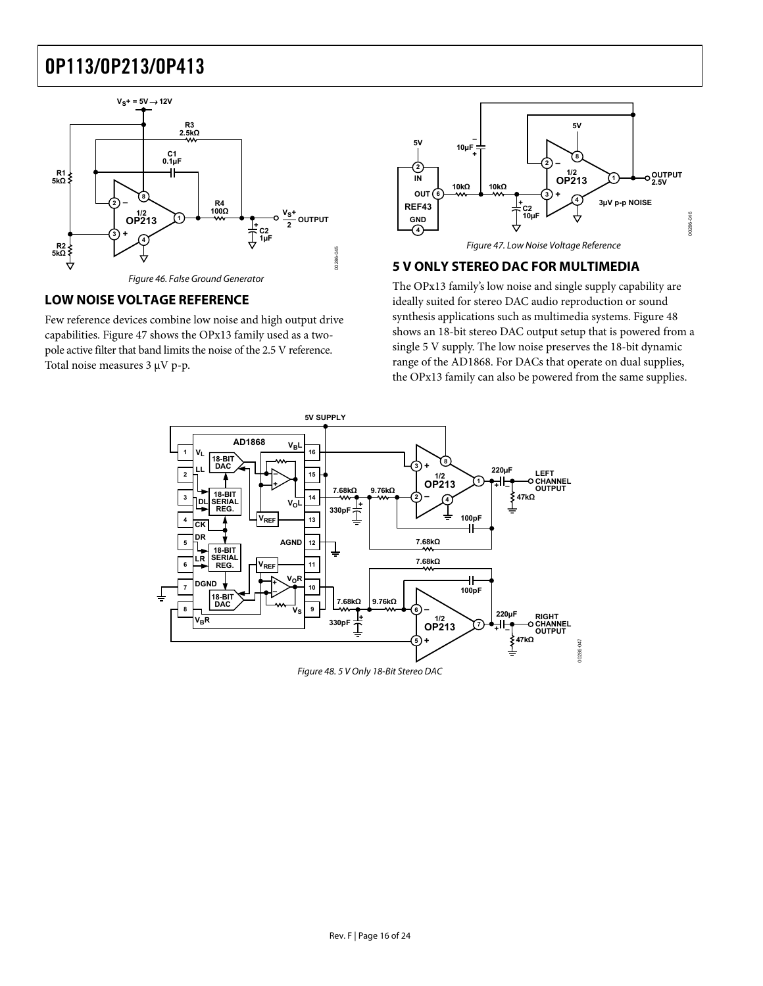<span id="page-15-0"></span>

Figure 46. False Ground Generator

#### <span id="page-15-2"></span><span id="page-15-1"></span>**LOW NOISE VOLTAGE REFERENCE**

Few reference devices combine low noise and high output drive capabilities. [Figure 47](#page-15-2) shows the OPx13 family used as a twopole active filter that band limits the noise of the 2.5 V reference. Total noise measures 3 μV p-p.



#### **5 V ONLY STEREO DAC FOR MULTIMEDIA**

The OPx13 family's low noise and single supply capability are ideally suited for stereo DAC audio reproduction or sound synthesis applications such as multimedia systems. [Figure 48](#page-15-3) shows an 18-bit stereo DAC output setup that is powered from a single 5 V supply. The low noise preserves the 18-bit dynamic range of the AD1868. For DACs that operate on dual supplies, the OPx13 family can also be powered from the same supplies.



<span id="page-15-3"></span>Figure 48. 5 V Only 18-Bit Stereo DAC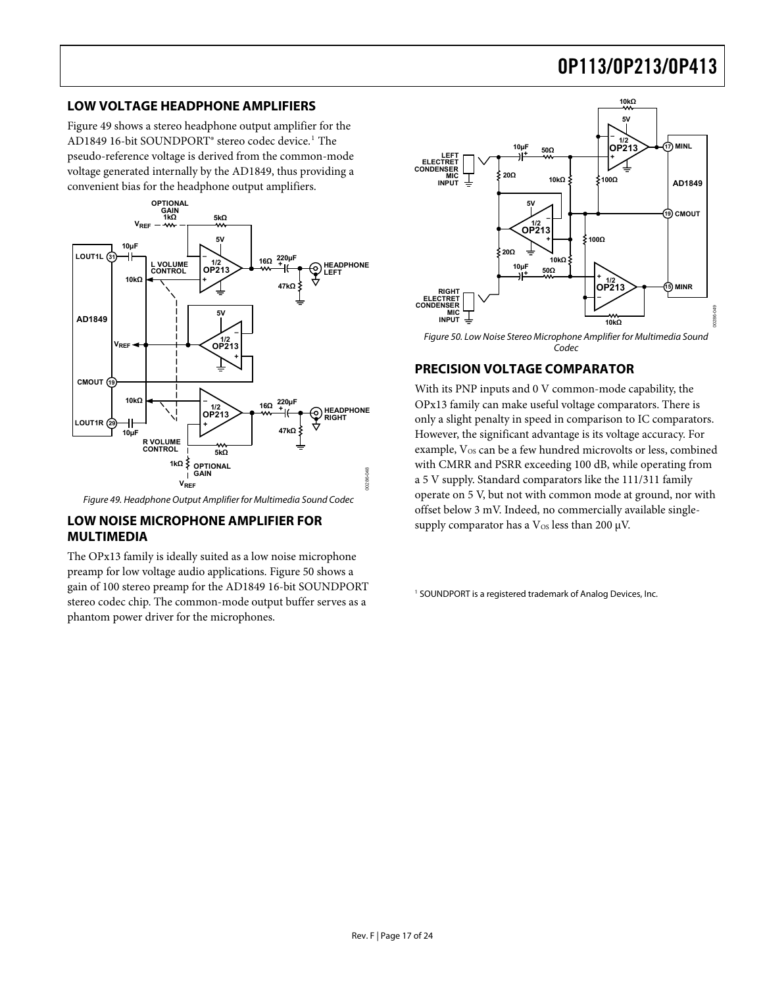#### <span id="page-16-0"></span>**LOW VOLTAGE HEADPHONE AMPLIFIERS**

[Figure 49](#page-16-1) shows a stereo headphone output amplifier for the AD1849 16-bit SOUNDPORT® stereo codec device.<sup>1</sup> The pseudo-reference voltage is derived from the common-mode voltage generated internally by the AD1849, thus providing a convenient bias for the headphone output amplifiers.

<span id="page-16-2"></span>

Figure 49. Headphone Output Amplifier for Multimedia Sound Codec

#### <span id="page-16-1"></span>**LOW NOISE MICROPHONE AMPLIFIER FOR MULTIMEDIA**

The OPx13 family is ideally suited as a low noise microphone preamp for low voltage audio applications. [Figure 50](#page-16-2) shows a gain of 100 stereo preamp for the AD1849 16-bit SOUNDPORT stereo codec chip. The common-mode output buffer serves as a phantom power driver for the microphones.



Figure 50. Low Noise Stereo Microphone Amplifier for Multimedia Sound Codec

### **PRECISION VOLTAGE COMPARATOR**

With its PNP inputs and 0 V common-mode capability, the OPx13 family can make useful voltage comparators. There is only a slight penalty in speed in comparison to IC comparators. However, the significant advantage is its voltage accuracy. For example, V<sub>OS</sub> can be a few hundred microvolts or less, combined with CMRR and PSRR exceeding 100 dB, while operating from a 5 V supply. Standard comparators like the 111/311 family operate on 5 V, but not with common mode at ground, nor with offset below 3 mV. Indeed, no commercially available singlesupply comparator has a  $V_{OS}$  less than 200  $\mu$ V.

<sup>1</sup> SOUNDPORT is a registered trademark of Analog Devices, Inc.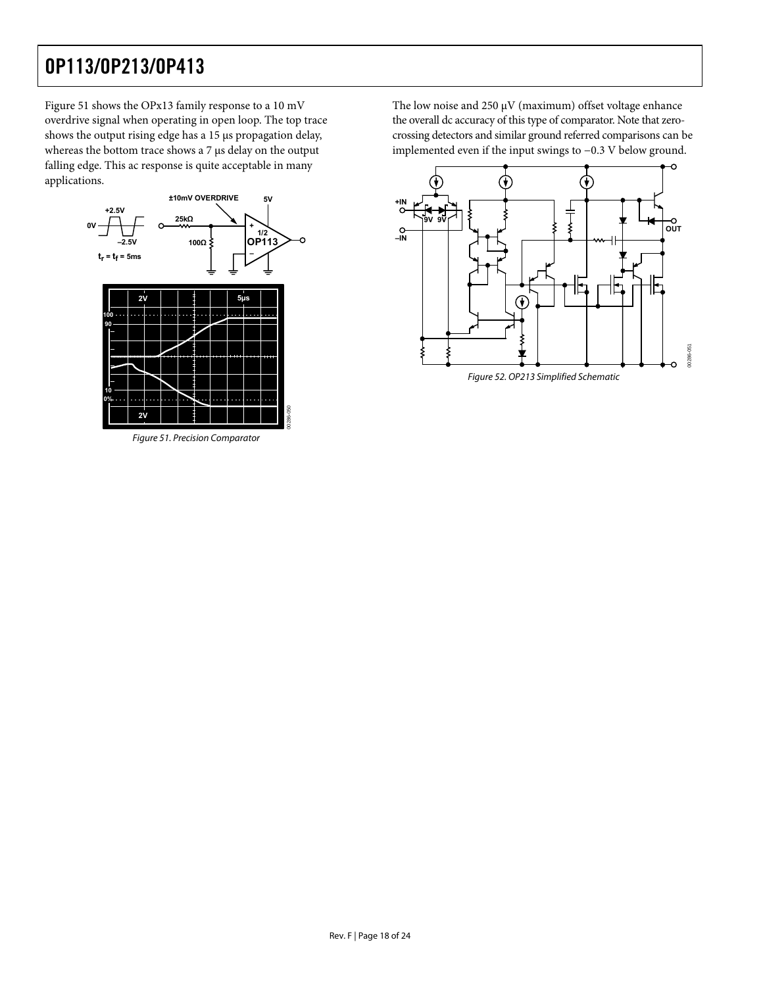[Figure 51](#page-17-0) shows the OPx13 family response to a 10 mV overdrive signal when operating in open loop. The top trace shows the output rising edge has a 15 μs propagation delay, whereas the bottom trace shows a 7 μs delay on the output falling edge. This ac response is quite acceptable in many applications.



<span id="page-17-0"></span>Figure 51. Precision Comparator

The low noise and 250  $\mu$ V (maximum) offset voltage enhance the overall dc accuracy of this type of comparator. Note that zerocrossing detectors and similar ground referred comparisons can be implemented even if the input swings to −0.3 V below ground.



Figure 52. OP213 Simplified Schematic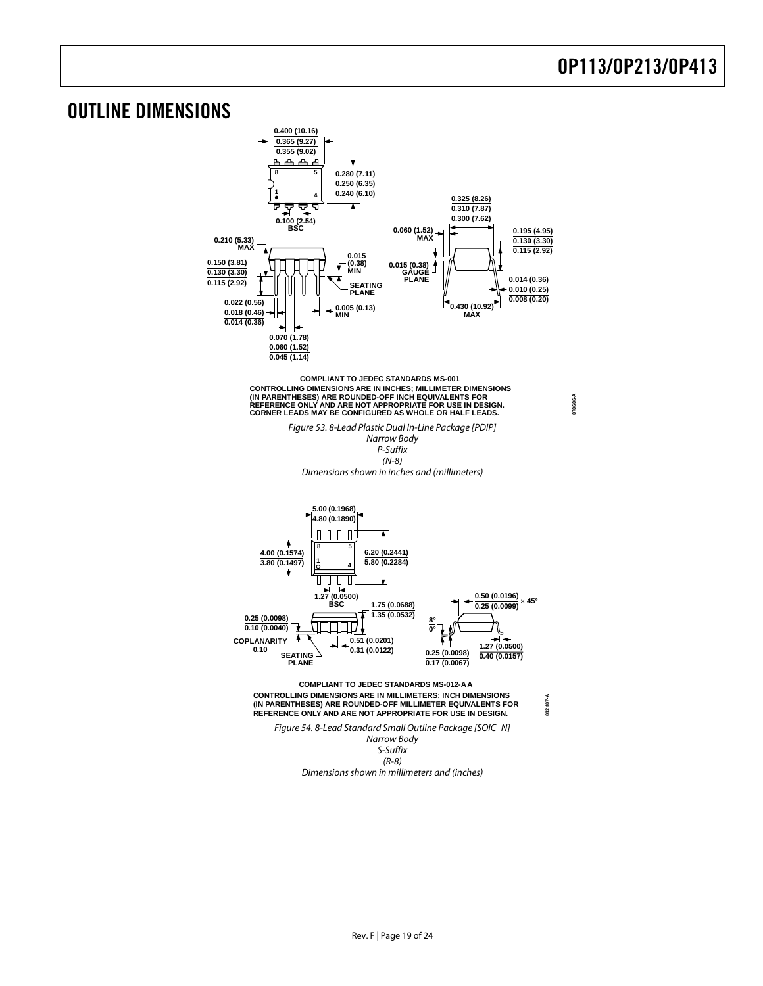**070606-A**

### <span id="page-18-0"></span>OUTLINE DIMENSIONS

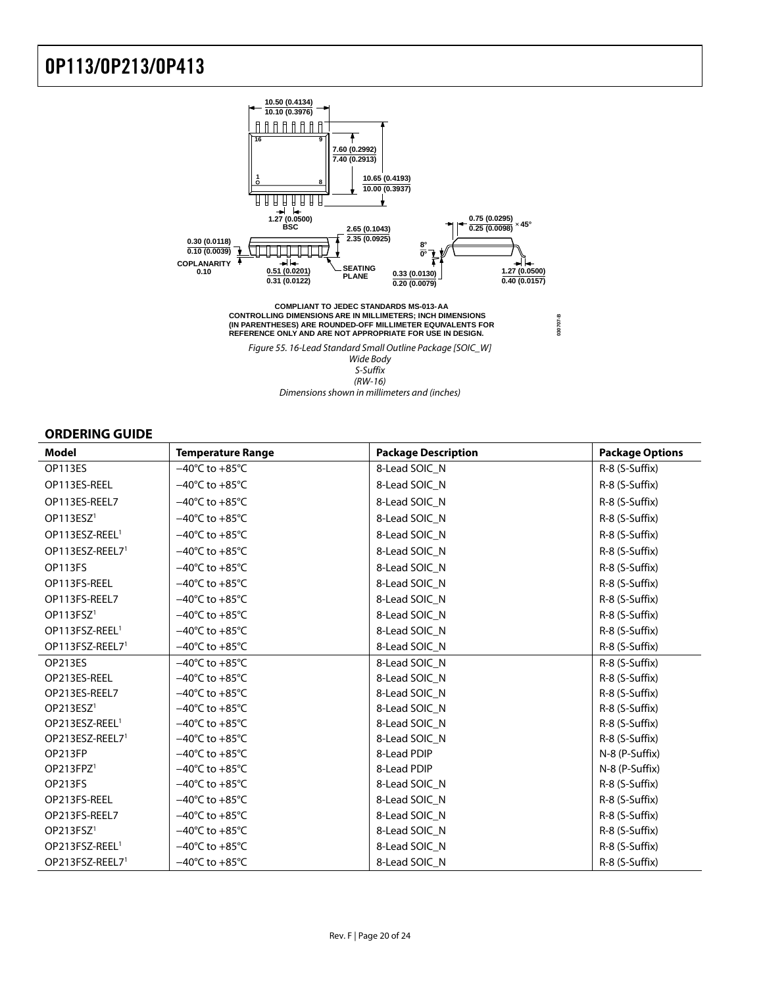<span id="page-19-0"></span>

#### **ORDERING GUIDE**

| <b>Model</b>                | <b>Temperature Range</b>           | <b>Package Description</b> | <b>Package Options</b> |
|-----------------------------|------------------------------------|----------------------------|------------------------|
| OP113ES                     | $-40^{\circ}$ C to $+85^{\circ}$ C | 8-Lead SOIC N              | R-8 (S-Suffix)         |
| OP113ES-REEL                | $-40^{\circ}$ C to $+85^{\circ}$ C | 8-Lead SOIC N              | R-8 (S-Suffix)         |
| OP113ES-REEL7               | $-40^{\circ}$ C to $+85^{\circ}$ C | 8-Lead SOIC N              | R-8 (S-Suffix)         |
| OP113ESZ <sup>1</sup>       | $-40^{\circ}$ C to $+85^{\circ}$ C | 8-Lead SOIC_N              | R-8 (S-Suffix)         |
| OP113ESZ-REEL <sup>1</sup>  | $-40^{\circ}$ C to $+85^{\circ}$ C | 8-Lead SOIC_N              | R-8 (S-Suffix)         |
| OP113ESZ-REEL7 <sup>1</sup> | $-40^{\circ}$ C to $+85^{\circ}$ C | 8-Lead SOIC_N              | R-8 (S-Suffix)         |
| OP113FS                     | $-40^{\circ}$ C to $+85^{\circ}$ C | 8-Lead SOIC N              | R-8 (S-Suffix)         |
| OP113FS-REEL                | $-40^{\circ}$ C to $+85^{\circ}$ C | 8-Lead SOIC N              | R-8 (S-Suffix)         |
| OP113FS-REEL7               | $-40^{\circ}$ C to $+85^{\circ}$ C | 8-Lead SOIC N              | R-8 (S-Suffix)         |
| OP113FSZ <sup>1</sup>       | $-40^{\circ}$ C to $+85^{\circ}$ C | 8-Lead SOIC_N              | R-8 (S-Suffix)         |
| OP113FSZ-REEL <sup>1</sup>  | $-40^{\circ}$ C to $+85^{\circ}$ C | 8-Lead SOIC_N              | R-8 (S-Suffix)         |
| OP113FSZ-REEL7 <sup>1</sup> | $-40^{\circ}$ C to $+85^{\circ}$ C | 8-Lead SOIC_N              | R-8 (S-Suffix)         |
| OP213ES                     | $-40^{\circ}$ C to $+85^{\circ}$ C | 8-Lead SOIC_N              | R-8 (S-Suffix)         |
| OP213ES-REEL                | $-40^{\circ}$ C to $+85^{\circ}$ C | 8-Lead SOIC N              | R-8 (S-Suffix)         |
| OP213ES-REEL7               | $-40^{\circ}$ C to $+85^{\circ}$ C | 8-Lead SOIC N              | R-8 (S-Suffix)         |
| OP213ESZ <sup>1</sup>       | $-40^{\circ}$ C to $+85^{\circ}$ C | 8-Lead SOIC_N              | R-8 (S-Suffix)         |
| OP213ESZ-REEL <sup>1</sup>  | $-40^{\circ}$ C to $+85^{\circ}$ C | 8-Lead SOIC N              | R-8 (S-Suffix)         |
| OP213ESZ-REEL7 <sup>1</sup> | $-40^{\circ}$ C to $+85^{\circ}$ C | 8-Lead SOIC_N              | R-8 (S-Suffix)         |
| OP213FP                     | $-40^{\circ}$ C to $+85^{\circ}$ C | 8-Lead PDIP                | N-8 (P-Suffix)         |
| OP213FPZ <sup>1</sup>       | $-40^{\circ}$ C to $+85^{\circ}$ C | 8-Lead PDIP                | N-8 (P-Suffix)         |
| OP213FS                     | $-40^{\circ}$ C to $+85^{\circ}$ C | 8-Lead SOIC_N              | R-8 (S-Suffix)         |
| OP213FS-REEL                | $-40^{\circ}$ C to $+85^{\circ}$ C | 8-Lead SOIC_N              | R-8 (S-Suffix)         |
| OP213FS-REEL7               | $-40^{\circ}$ C to $+85^{\circ}$ C | 8-Lead SOIC_N              | R-8 (S-Suffix)         |
| OP213FSZ <sup>1</sup>       | $-40^{\circ}$ C to $+85^{\circ}$ C | 8-Lead SOIC_N              | R-8 (S-Suffix)         |
| OP213FSZ-REEL <sup>1</sup>  | $-40^{\circ}$ C to $+85^{\circ}$ C | 8-Lead SOIC_N              | R-8 (S-Suffix)         |
| OP213FSZ-REEL7 <sup>1</sup> | $-40^{\circ}$ C to $+85^{\circ}$ C | 8-Lead SOIC_N              | R-8 (S-Suffix)         |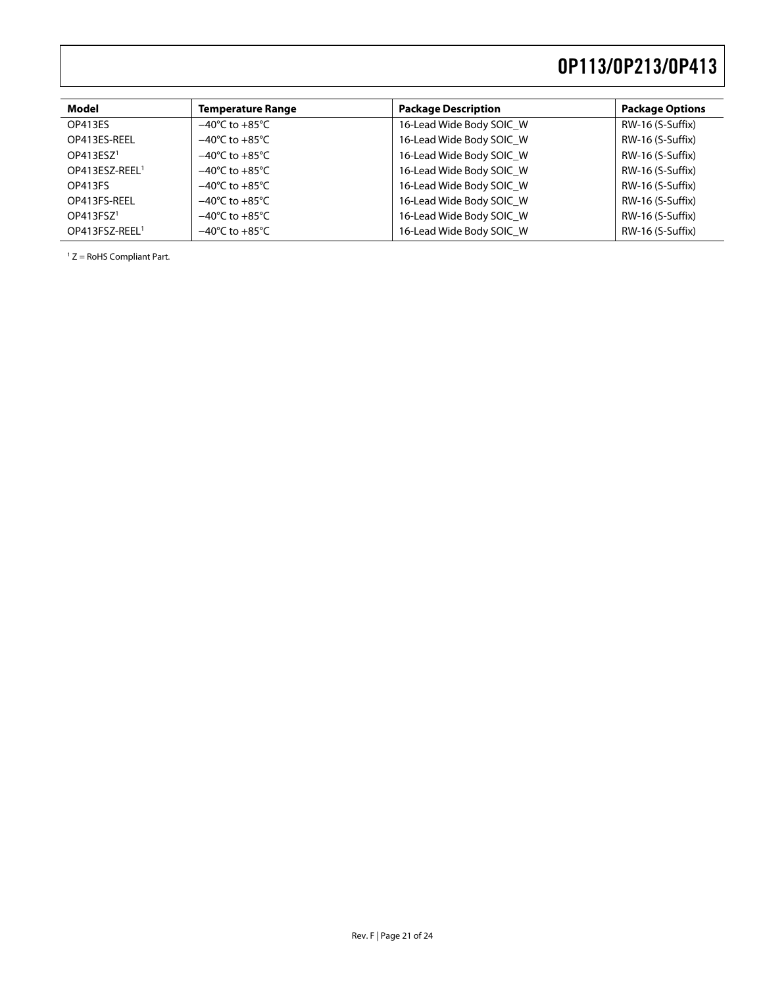| Model                      | <b>Temperature Range</b>           | <b>Package Description</b> | <b>Package Options</b> |
|----------------------------|------------------------------------|----------------------------|------------------------|
| OP413ES                    | $-40^{\circ}$ C to $+85^{\circ}$ C | 16-Lead Wide Body SOIC W   | RW-16 (S-Suffix)       |
| OP413ES-REEL               | $-40^{\circ}$ C to $+85^{\circ}$ C | 16-Lead Wide Body SOIC W   | RW-16 (S-Suffix)       |
| OP413ESZ <sup>1</sup>      | $-40^{\circ}$ C to $+85^{\circ}$ C | 16-Lead Wide Body SOIC_W   | RW-16 (S-Suffix)       |
| OP413ESZ-REEL <sup>1</sup> | $-40^{\circ}$ C to $+85^{\circ}$ C | 16-Lead Wide Body SOIC W   | RW-16 (S-Suffix)       |
| OP413FS                    | $-40^{\circ}$ C to $+85^{\circ}$ C | 16-Lead Wide Body SOIC_W   | RW-16 (S-Suffix)       |
| OP413FS-REEL               | $-40^{\circ}$ C to $+85^{\circ}$ C | 16-Lead Wide Body SOIC W   | RW-16 (S-Suffix)       |
| OP413FSZ <sup>1</sup>      | $-40^{\circ}$ C to $+85^{\circ}$ C | 16-Lead Wide Body SOIC W   | RW-16 (S-Suffix)       |
| OP413FSZ-REEL <sup>1</sup> | $-40^{\circ}$ C to $+85^{\circ}$ C | 16-Lead Wide Body SOIC W   | RW-16 (S-Suffix)       |
|                            |                                    |                            |                        |

<span id="page-20-0"></span>1 Z = RoHS Compliant Part.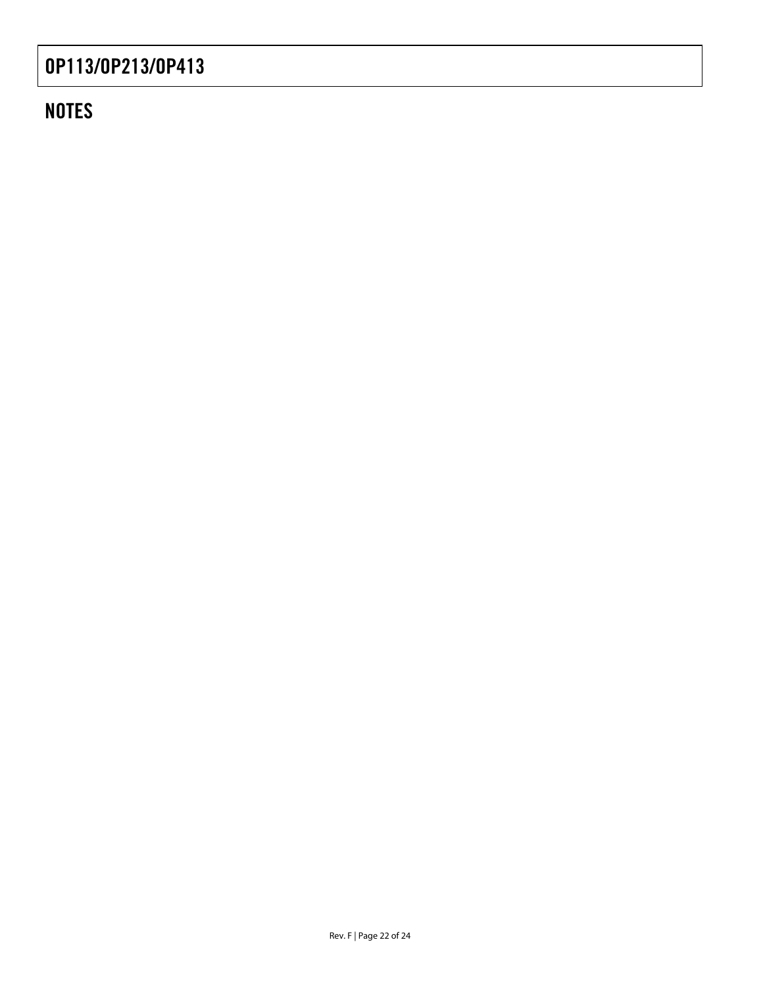## **NOTES**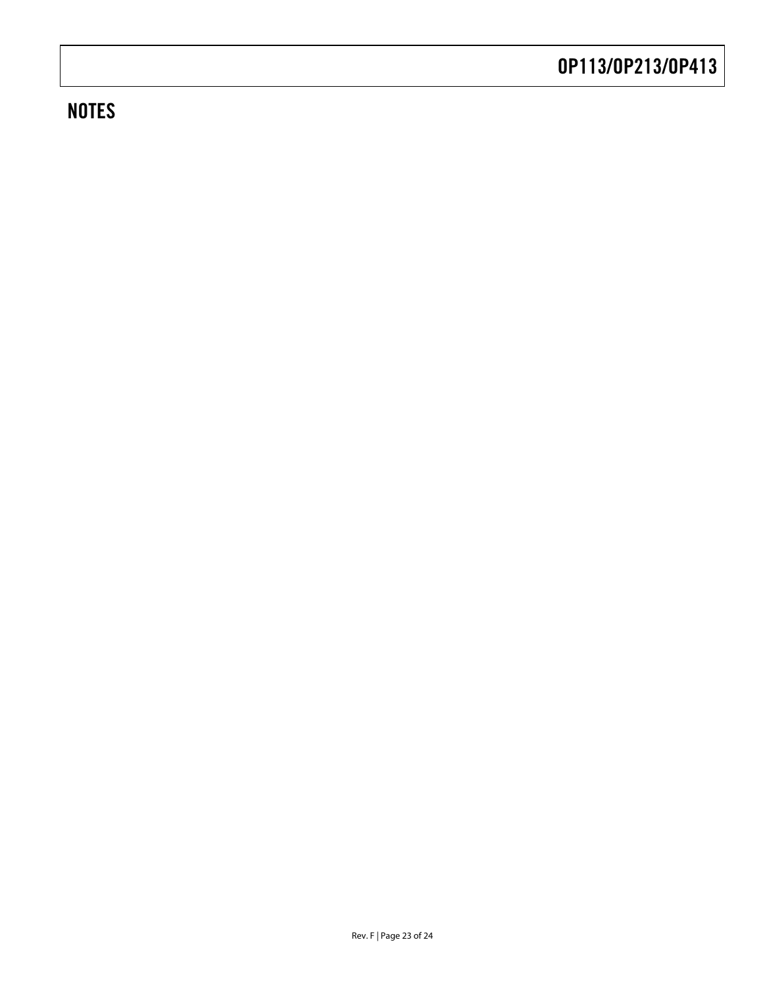## **NOTES**